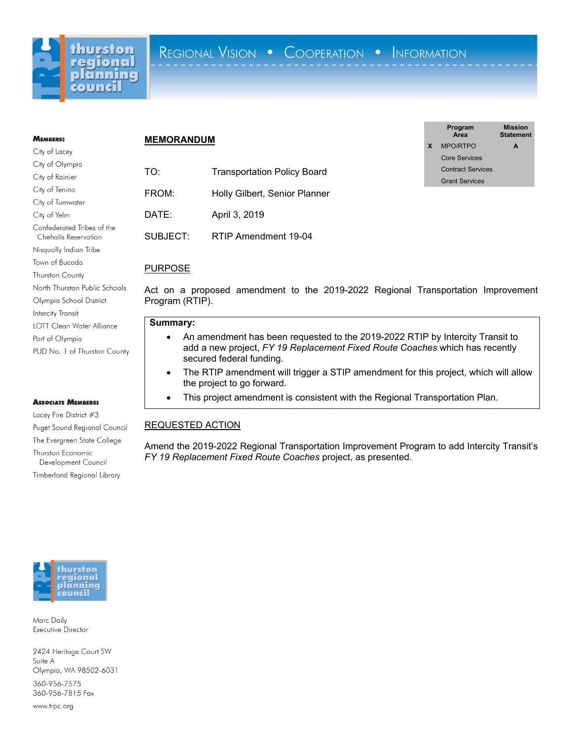

### **MEMBERS:** City of Lacey

City of Olympia City of Rainier City of Tenino City of Tumwater City of Yelm Confederated Tribes of the Chehalis Reservation Nisqually Indian Tribe Town of Bucoda Thurston County North Thurston Public Schools Olympia School District **Intercity Transit LOTT Clean Water Alliance** Port of Olympia PUD No. 1 of Thurston County

### **ASSOCIATE MEMBERS:**

Lacey Fire District #3 Puget Sound Regional Council The Evergreen State College Thurston Economic Development Council Timberland Regional Library

## **MEMORANDUM**

| TO:      | <b>Transportation Policy Board</b> |
|----------|------------------------------------|
| FROM:    | Holly Gilbert, Senior Planner      |
| DATE:    | April 3, 2019                      |
| SUBJECT: | RTIP Amendment 19-04               |

# PURPOSE

Act on a proposed amendment to the 2019-2022 Regional Transportation Improvement Program (RTIP).

**Program Area**

**X** MPO/RTPO **A** Core Services Contract Services Grant Services

**Mission Statement**

## **Summary:**

- An amendment has been requested to the 2019-2022 RTIP by Intercity Transit to add a new project, *FY 19 Replacement Fixed Route Coaches* which has recently secured federal funding.
- The RTIP amendment will trigger a STIP amendment for this project, which will allow the project to go forward.
- This project amendment is consistent with the Regional Transportation Plan.

# REQUESTED ACTION

Amend the 2019-2022 Regional Transportation Improvement Program to add Intercity Transit's *FY 19 Replacement Fixed Route Coaches* project, as presented.



Marc Daily Executive Director

2424 Heritage Court SW Suite A Olympia, WA 98502-6031 360-956-7575

360-956-7815 Fax

www.trpc.org